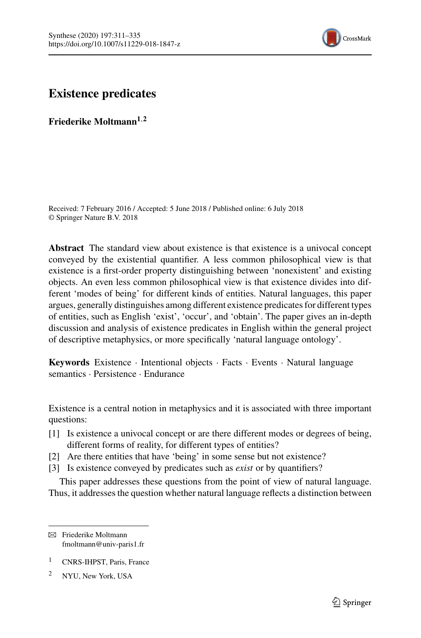

# **Existence predicates**

**Friederike Moltmann1***,***<sup>2</sup>**

Received: 7 February 2016 / Accepted: 5 June 2018 / Published online: 6 July 2018 © Springer Nature B.V. 2018

**Abstract** The standard view about existence is that existence is a univocal concept conveyed by the existential quantifier. A less common philosophical view is that existence is a first-order property distinguishing between 'nonexistent' and existing objects. An even less common philosophical view is that existence divides into different 'modes of being' for different kinds of entities. Natural languages, this paper argues, generally distinguishes among different existence predicates for different types of entities, such as English 'exist', 'occur', and 'obtain'. The paper gives an in-depth discussion and analysis of existence predicates in English within the general project of descriptive metaphysics, or more specifically 'natural language ontology'.

**Keywords** Existence · Intentional objects · Facts · Events · Natural language semantics · Persistence · Endurance

Existence is a central notion in metaphysics and it is associated with three important questions:

- [1] Is existence a univocal concept or are there different modes or degrees of being, different forms of reality, for different types of entities?
- [2] Are there entities that have 'being' in some sense but not existence?
- [3] Is existence conveyed by predicates such as *exist* or by quantifiers?

This paper addresses these questions from the point of view of natural language. Thus, it addresses the question whether natural language reflects a distinction between

B Friederike Moltmann fmoltmann@univ-paris1.fr

<sup>1</sup> CNRS-IHPST, Paris, France

<sup>2</sup> NYU, New York, USA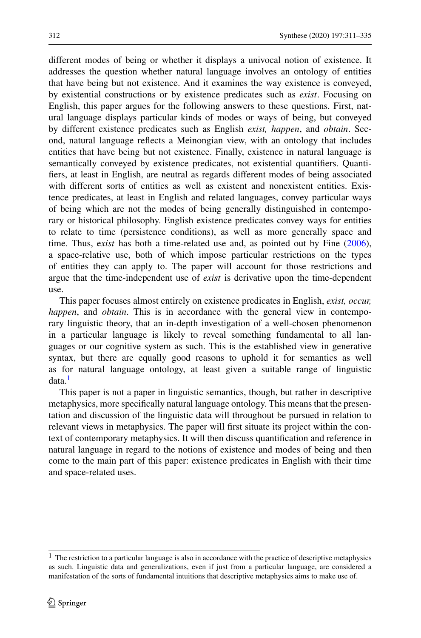different modes of being or whether it displays a univocal notion of existence. It addresses the question whether natural language involves an ontology of entities that have being but not existence. And it examines the way existence is conveyed, by existential constructions or by existence predicates such as *exist*. Focusing on English, this paper argues for the following answers to these questions. First, natural language displays particular kinds of modes or ways of being, but conveyed by different existence predicates such as English *exist, happen*, and *obtain*. Second, natural language reflects a Meinongian view, with an ontology that includes entities that have being but not existence. Finally, existence in natural language is semantically conveyed by existence predicates, not existential quantifiers. Quantifiers, at least in English, are neutral as regards different modes of being associated with different sorts of entities as well as existent and nonexistent entities. Existence predicates, at least in English and related languages, convey particular ways of being which are not the modes of being generally distinguished in contemporary or historical philosophy. English existence predicates convey ways for entities to relate to time (persistence conditions), as well as more generally space and time. Thus, e*xist* has both a time-related use and, as pointed out by Fine [\(2006\)](#page-23-0), a space-relative use, both of which impose particular restrictions on the types of entities they can apply to. The paper will account for those restrictions and argue that the time-independent use of *exist* is derivative upon the time-dependent use.

This paper focuses almost entirely on existence predicates in English, *exist, occur, happen*, and *obtain*. This is in accordance with the general view in contemporary linguistic theory, that an in-depth investigation of a well-chosen phenomenon in a particular language is likely to reveal something fundamental to all languages or our cognitive system as such. This is the established view in generative syntax, but there are equally good reasons to uphold it for semantics as well as for natural language ontology, at least given a suitable range of linguistic data.[1](#page-1-0)

This paper is not a paper in linguistic semantics, though, but rather in descriptive metaphysics, more specifically natural language ontology. This means that the presentation and discussion of the linguistic data will throughout be pursued in relation to relevant views in metaphysics. The paper will first situate its project within the context of contemporary metaphysics. It will then discuss quantification and reference in natural language in regard to the notions of existence and modes of being and then come to the main part of this paper: existence predicates in English with their time and space-related uses.

<span id="page-1-0"></span> $<sup>1</sup>$  The restriction to a particular language is also in accordance with the practice of descriptive metaphysics</sup> as such. Linguistic data and generalizations, even if just from a particular language, are considered a manifestation of the sorts of fundamental intuitions that descriptive metaphysics aims to make use of.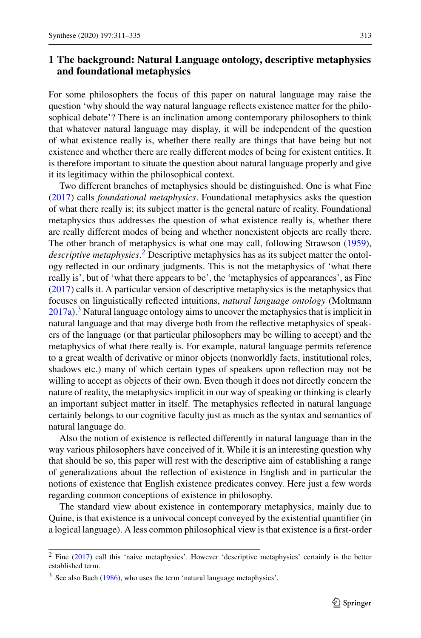# **1 The background: Natural Language ontology, descriptive metaphysics and foundational metaphysics**

For some philosophers the focus of this paper on natural language may raise the question 'why should the way natural language reflects existence matter for the philosophical debate'? There is an inclination among contemporary philosophers to think that whatever natural language may display, it will be independent of the question of what existence really is, whether there really are things that have being but not existence and whether there are really different modes of being for existent entities. It is therefore important to situate the question about natural language properly and give it its legitimacy within the philosophical context.

Two different branches of metaphysics should be distinguished. One is what Fine [\(2017\)](#page-23-1) calls *foundational metaphysics*. Foundational metaphysics asks the question of what there really is; its subject matter is the general nature of reality. Foundational metaphysics thus addresses the question of what existence really is, whether there are really different modes of being and whether nonexistent objects are really there. The other branch of metaphysics is what one may call, following Strawson [\(1959\)](#page-24-0), *descriptive metaphysics*. [2](#page-2-0) Descriptive metaphysics has as its subject matter the ontology reflected in our ordinary judgments. This is not the metaphysics of 'what there really is', but of 'what there appears to be', the 'metaphysics of appearances', as Fine [\(2017\)](#page-23-1) calls it. A particular version of descriptive metaphysics is the metaphysics that focuses on linguistically reflected intuitions, *natural language ontology* (Moltmann  $2017a$ .<sup>[3](#page-2-1)</sup> Natural language ontology aims to uncover the metaphysics that is implicit in natural language and that may diverge both from the reflective metaphysics of speakers of the language (or that particular philosophers may be willing to accept) and the metaphysics of what there really is. For example, natural language permits reference to a great wealth of derivative or minor objects (nonworldly facts, institutional roles, shadows etc.) many of which certain types of speakers upon reflection may not be willing to accept as objects of their own. Even though it does not directly concern the nature of reality, the metaphysics implicit in our way of speaking or thinking is clearly an important subject matter in itself. The metaphysics reflected in natural language certainly belongs to our cognitive faculty just as much as the syntax and semantics of natural language do.

Also the notion of existence is reflected differently in natural language than in the way various philosophers have conceived of it. While it is an interesting question why that should be so, this paper will rest with the descriptive aim of establishing a range of generalizations about the reflection of existence in English and in particular the notions of existence that English existence predicates convey. Here just a few words regarding common conceptions of existence in philosophy.

The standard view about existence in contemporary metaphysics, mainly due to Quine, is that existence is a univocal concept conveyed by the existential quantifier (in a logical language). A less common philosophical view is that existence is a first-order

<span id="page-2-1"></span><span id="page-2-0"></span><sup>2</sup> Fine [\(2017\)](#page-23-1) call this 'naive metaphysics'. However 'descriptive metaphysics' certainly is the better established term.

 $3$  See also Bach [\(1986\)](#page-23-2), who uses the term 'natural language metaphysics'.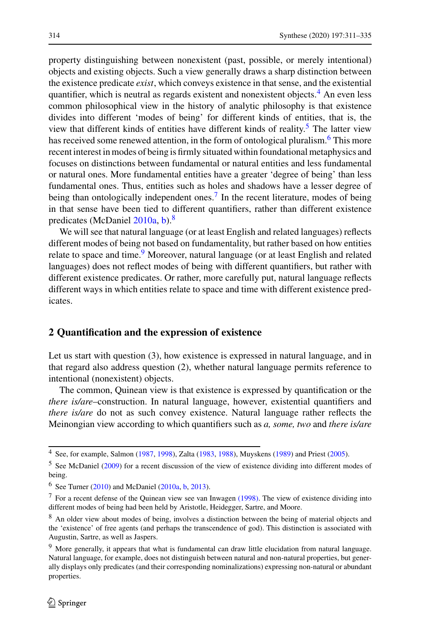property distinguishing between nonexistent (past, possible, or merely intentional) objects and existing objects. Such a view generally draws a sharp distinction between the existence predicate *exist*, which conveys existence in that sense, and the existential quantifier, which is neutral as regards existent and nonexistent objects. $4$  An even less common philosophical view in the history of analytic philosophy is that existence divides into different 'modes of being' for different kinds of entities, that is, the view that different kinds of entities have different kinds of reality.<sup>[5](#page-3-1)</sup> The latter view has received some renewed attention, in the form of ontological pluralism.<sup>[6](#page-3-2)</sup> This more recent interest in modes of being is firmly situated within foundational metaphysics and focuses on distinctions between fundamental or natural entities and less fundamental or natural ones. More fundamental entities have a greater 'degree of being' than less fundamental ones. Thus, entities such as holes and shadows have a lesser degree of being than ontologically independent ones.<sup>7</sup> In the recent literature, modes of being in that sense have been tied to different quantifiers, rather than different existence predicates (McDaniel [2010a,](#page-23-3) [b\)](#page-23-4).<sup>[8](#page-3-4)</sup>

We will see that natural language (or at least English and related languages) reflects different modes of being not based on fundamentality, but rather based on how entities relate to space and time.<sup>[9](#page-3-5)</sup> Moreover, natural language (or at least English and related languages) does not reflect modes of being with different quantifiers, but rather with different existence predicates. Or rather, more carefully put, natural language reflects different ways in which entities relate to space and time with different existence predicates.

#### **2 Quantification and the expression of existence**

Let us start with question (3), how existence is expressed in natural language, and in that regard also address question (2), whether natural language permits reference to intentional (nonexistent) objects.

The common, Quinean view is that existence is expressed by quantification or the *there is/are*–construction. In natural language, however, existential quantifiers and *there is/are* do not as such convey existence. Natural language rather reflects the Meinongian view according to which quantifiers such as *a, some, two* and *there is/are*

<span id="page-3-1"></span><span id="page-3-0"></span><sup>4</sup> See, for example, Salmon [\(1987,](#page-24-2) [1998\)](#page-24-3), Zalta [\(1983,](#page-24-4) [1988\)](#page-24-5), Muyskens [\(1989\)](#page-24-6) and Priest [\(2005\)](#page-24-7).

<span id="page-3-2"></span><sup>5</sup> See McDaniel [\(2009\)](#page-23-5) for a recent discussion of the view of existence dividing into different modes of being.

<span id="page-3-3"></span> $6$  See Turner [\(2010\)](#page-24-8) and McDaniel [\(2010a,](#page-23-3) [b,](#page-23-4) [2013\)](#page-23-6).

<span id="page-3-4"></span><sup>7</sup> For a recent defense of the Quinean view see van Inwagen [\(1998\).](#page-23-7) The view of existence dividing into different modes of being had been held by Aristotle, Heidegger, Sartre, and Moore.

<sup>8</sup> An older view about modes of being, involves a distinction between the being of material objects and the 'existence' of free agents (and perhaps the transcendence of god). This distinction is associated with Augustin, Sartre, as well as Jaspers.

<span id="page-3-5"></span><sup>&</sup>lt;sup>9</sup> More generally, it appears that what is fundamental can draw little elucidation from natural language. Natural language, for example, does not distinguish between natural and non-natural properties, but generally displays only predicates (and their corresponding nominalizations) expressing non-natural or abundant properties.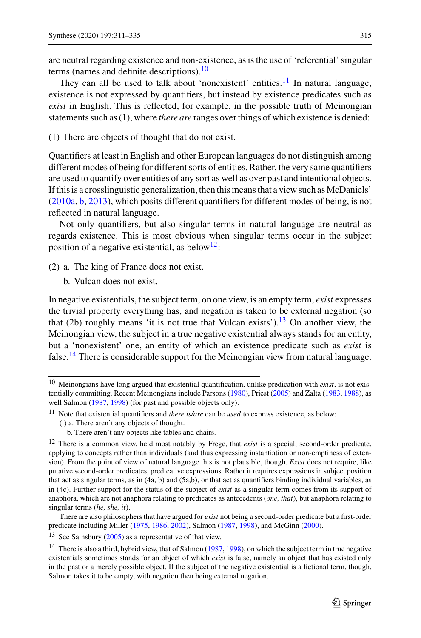are neutral regarding existence and non-existence, as is the use of 'referential' singular terms (names and definite descriptions). $\frac{10}{10}$ 

They can all be used to talk about 'nonexistent' entities.<sup>11</sup> In natural language, existence is not expressed by quantifiers, but instead by existence predicates such as *exist* in English. This is reflected, for example, in the possible truth of Meinongian statements such as (1), where *there are* ranges over things of which existence is denied:

(1) There are objects of thought that do not exist.

Quantifiers at least in English and other European languages do not distinguish among different modes of being for different sorts of entities. Rather, the very same quantifiers are used to quantify over entities of any sort as well as over past and intentional objects. If this is a crosslinguistic generalization, then this means that a view such asMcDaniels' [\(2010a,](#page-23-3) [b,](#page-23-4) [2013\)](#page-23-6), which posits different quantifiers for different modes of being, is not reflected in natural language.

Not only quantifiers, but also singular terms in natural language are neutral as regards existence. This is most obvious when singular terms occur in the subject position of a negative existential, as below<sup>12</sup>:

- (2) a. The king of France does not exist.
	- b. Vulcan does not exist.

In negative existentials, the subject term, on one view, is an empty term, *exist* expresses the trivial property everything has, and negation is taken to be external negation (so that (2b) roughly means 'it is not true that Vulcan exists').<sup>[13](#page-4-3)</sup> On another view, the Meinongian view, the subject in a true negative existential always stands for an entity, but a 'nonexistent' one, an entity of which an existence predicate such as *exist* is false.<sup>[14](#page-4-4)</sup> There is considerable support for the Meinongian view from natural language.

<span id="page-4-2"></span>b. There aren't any objects like tables and chairs.

<span id="page-4-3"></span>There are also philosophers that have argued for *exist* not being a second-order predicate but a first-order predicate including Miller [\(1975,](#page-23-8) [1986,](#page-23-9) [2002\)](#page-23-10), Salmon [\(1987,](#page-24-2) [1998\)](#page-24-3), and McGinn [\(2000\)](#page-23-11).

<span id="page-4-4"></span> $13$  See Sainsbury [\(2005\)](#page-24-10) as a representative of that view.

<span id="page-4-0"></span><sup>10</sup> Meinongians have long argued that existential quantification, unlike predication with *exist*, is not existentially committing. Recent Meinongians include Parsons [\(1980\)](#page-24-9), Priest [\(2005\)](#page-24-7) and Zalta [\(1983,](#page-24-4) [1988\)](#page-24-5), as well Salmon [\(1987,](#page-24-2) [1998\)](#page-24-3) (for past and possible objects only).

<span id="page-4-1"></span><sup>11</sup> Note that existential quantifiers and *there is/are* can be *used* to express existence, as below: (i) a. There aren't any objects of thought.

<sup>12</sup> There is a common view, held most notably by Frege, that *exist* is a special, second-order predicate, applying to concepts rather than individuals (and thus expressing instantiation or non-emptiness of extension). From the point of view of natural language this is not plausible, though. *Exist* does not require, like putative second-order predicates, predicative expressions. Rather it requires expressions in subject position that act as singular terms, as in (4a, b) and (5a,b), or that act as quantifiers binding individual variables, as in (4c). Further support for the status of the subject of *exist* as a singular term comes from its support of anaphora, which are not anaphora relating to predicates as antecedents (*one, that*), but anaphora relating to singular terms (*he, she, it*).

<sup>&</sup>lt;sup>14</sup> There is also a third, hybrid view, that of Salmon [\(1987,](#page-24-2) [1998\)](#page-24-3), on which the subject term in true negative existentials sometimes stands for an object of which *exist* is false, namely an object that has existed only in the past or a merely possible object. If the subject of the negative existential is a fictional term, though, Salmon takes it to be empty, with negation then being external negation.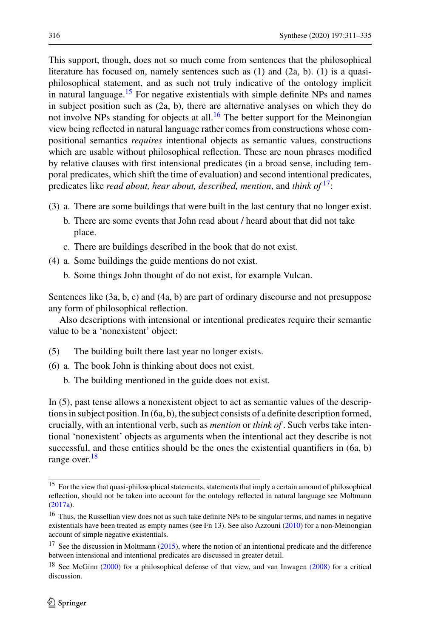This support, though, does not so much come from sentences that the philosophical literature has focused on, namely sentences such as (1) and (2a, b). (1) is a quasiphilosophical statement, and as such not truly indicative of the ontology implicit in natural language.<sup>15</sup> For negative existentials with simple definite NPs and names in subject position such as (2a, b), there are alternative analyses on which they do not involve NPs standing for objects at all.<sup>16</sup> The better support for the Meinongian view being reflected in natural language rather comes from constructions whose compositional semantics *requires* intentional objects as semantic values, constructions which are usable without philosophical reflection. These are noun phrases modified by relative clauses with first intensional predicates (in a broad sense, including temporal predicates, which shift the time of evaluation) and second intentional predicates, predicates like *read about, hear about, described, mention*, and *think of* [17:](#page-5-2)

- (3) a. There are some buildings that were built in the last century that no longer exist.
	- b. There are some events that John read about / heard about that did not take place.
	- c. There are buildings described in the book that do not exist.
- (4) a. Some buildings the guide mentions do not exist.
	- b. Some things John thought of do not exist, for example Vulcan.

Sentences like (3a, b, c) and (4a, b) are part of ordinary discourse and not presuppose any form of philosophical reflection.

Also descriptions with intensional or intentional predicates require their semantic value to be a 'nonexistent' object:

- (5) The building built there last year no longer exists.
- (6) a. The book John is thinking about does not exist.
	- b. The building mentioned in the guide does not exist.

In (5), past tense allows a nonexistent object to act as semantic values of the descriptions in subject position. In (6a, b), the subject consists of a definite description formed, crucially, with an intentional verb, such as *mention* or *think of* . Such verbs take intentional 'nonexistent' objects as arguments when the intentional act they describe is not successful, and these entities should be the ones the existential quantifiers in (6a, b) range over.<sup>18</sup>

<span id="page-5-0"></span><sup>&</sup>lt;sup>15</sup> For the view that quasi-philosophical statements, statements that imply a certain amount of philosophical reflection, should not be taken into account for the ontology reflected in natural language see Moltmann [\(2017a\)](#page-24-1).

<span id="page-5-1"></span><sup>&</sup>lt;sup>16</sup> Thus, the Russellian view does not as such take definite NPs to be singular terms, and names in negative existentials have been treated as empty names (see Fn 13). See also Azzouni [\(2010\)](#page-23-12) for a non-Meinongian account of simple negative existentials.

<span id="page-5-3"></span><span id="page-5-2"></span> $17$  See the discussion in Moltmann [\(2015\)](#page-24-11), where the notion of an intentional predicate and the difference between intensional and intentional predicates are discussed in greater detail.

<sup>&</sup>lt;sup>18</sup> See McGinn [\(2000\)](#page-23-11) for a philosophical defense of that view, and van Inwagen [\(2008\)](#page-23-13) for a critical discussion.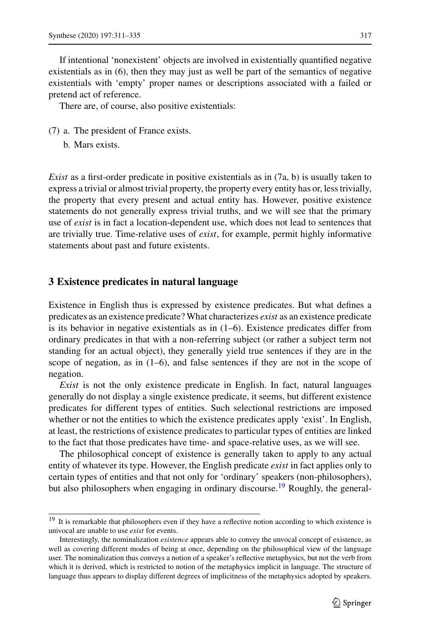If intentional 'nonexistent' objects are involved in existentially quantified negative existentials as in (6), then they may just as well be part of the semantics of negative existentials with 'empty' proper names or descriptions associated with a failed or pretend act of reference.

There are, of course, also positive existentials:

- (7) a. The president of France exists.
	- b. Mars exists.

*Exist* as a first-order predicate in positive existentials as in (7a, b) is usually taken to express a trivial or almost trivial property, the property every entity has or, less trivially, the property that every present and actual entity has. However, positive existence statements do not generally express trivial truths, and we will see that the primary use of *exist* is in fact a location-dependent use, which does not lead to sentences that are trivially true. Time-relative uses of *exist*, for example, permit highly informative statements about past and future existents.

#### <span id="page-6-1"></span>**3 Existence predicates in natural language**

Existence in English thus is expressed by existence predicates. But what defines a predicates as an existence predicate? What characterizes *exist* as an existence predicate is its behavior in negative existentials as in  $(1-6)$ . Existence predicates differ from ordinary predicates in that with a non-referring subject (or rather a subject term not standing for an actual object), they generally yield true sentences if they are in the scope of negation, as in  $(1-6)$ , and false sentences if they are not in the scope of negation.

*Exist* is not the only existence predicate in English. In fact, natural languages generally do not display a single existence predicate, it seems, but different existence predicates for different types of entities. Such selectional restrictions are imposed whether or not the entities to which the existence predicates apply 'exist'. In English, at least, the restrictions of existence predicates to particular types of entities are linked to the fact that those predicates have time- and space-relative uses, as we will see.

The philosophical concept of existence is generally taken to apply to any actual entity of whatever its type. However, the English predicate *exist* in fact applies only to certain types of entities and that not only for 'ordinary' speakers (non-philosophers), but also philosophers when engaging in ordinary discourse.<sup>19</sup> Roughly, the general-

<span id="page-6-0"></span><sup>&</sup>lt;sup>19</sup> It is remarkable that philosophers even if they have a reflective notion according to which existence is univocal are unable to use *exist* for events.

Interestingly, the nominalization *existence* appears able to convey the unvocal concept of existence, as well as covering different modes of being at once, depending on the philosophical view of the language user. The nominalization thus conveys a notion of a speaker's reflective metaphysics, but not the verb from which it is derived, which is restricted to notion of the metaphysics implicit in language. The structure of language thus appears to display different degrees of implicitness of the metaphysics adopted by speakers.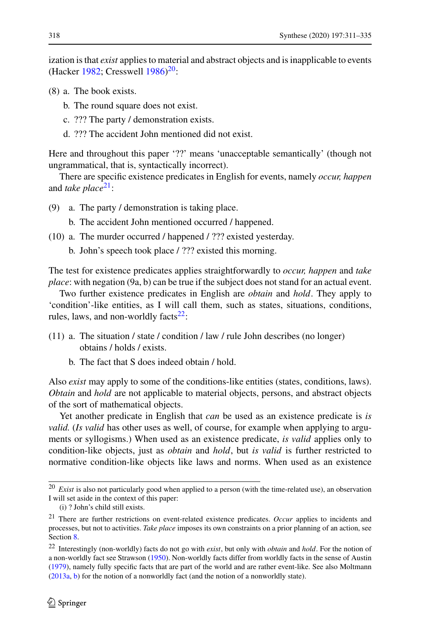ization is that *exist* applies to material and abstract objects and is inapplicable to events (Hacker [1982;](#page-23-14) Cresswell  $1986)^{20}$  $1986)^{20}$ :

- (8) a. The book exists.
	- b. The round square does not exist.
	- c. ??? The party / demonstration exists.
	- d. ??? The accident John mentioned did not exist.

Here and throughout this paper '??' means 'unacceptable semantically' (though not ungrammatical, that is, syntactically incorrect).

There are specific existence predicates in English for events, namely *occur, happen* and *take place*<sup>21</sup>:

- (9) a. The party / demonstration is taking place.
	- b. The accident John mentioned occurred / happened.
- (10) a. The murder occurred / happened / ??? existed yesterday.
	- b. John's speech took place / ??? existed this morning.

The test for existence predicates applies straightforwardly to *occur, happen* and *take place*: with negation (9a, b) can be true if the subject does not stand for an actual event.

Two further existence predicates in English are *obtain* and *hold*. They apply to 'condition'-like entities, as I will call them, such as states, situations, conditions, rules, laws, and non-worldly facts $22$ :

- (11) a. The situation / state / condition / law / rule John describes (no longer) obtains / holds / exists.
	- b. The fact that S does indeed obtain / hold.

Also *exist* may apply to some of the conditions-like entities (states, conditions, laws). *Obtain* and *hold* are not applicable to material objects, persons, and abstract objects of the sort of mathematical objects.

Yet another predicate in English that *can* be used as an existence predicate is *is valid.* (*Is valid* has other uses as well, of course, for example when applying to arguments or syllogisms.) When used as an existence predicate, *is valid* applies only to condition-like objects, just as *obtain* and *hold*, but *is valid* is further restricted to normative condition-like objects like laws and norms. When used as an existence

<span id="page-7-0"></span><sup>20</sup> *Exist* is also not particularly good when applied to a person (with the time-related use), an observation I will set aside in the context of this paper:

<span id="page-7-1"></span><sup>(</sup>i) ? John's child still exists.

<sup>21</sup> There are further restrictions on event-related existence predicates. *Occur* applies to incidents and processes, but not to activities. *Take place* imposes its own constraints on a prior planning of an action, see Section [8.](#page-20-0)

<span id="page-7-2"></span><sup>22</sup> Interestingly (non-worldly) facts do not go with *exist*, but only with *obtain* and *hold*. For the notion of a non-worldly fact see Strawson [\(1950\)](#page-24-12). Non-worldly facts differ from worldly facts in the sense of Austin [\(1979\)](#page-23-16), namely fully specific facts that are part of the world and are rather event-like. See also Moltmann [\(2013a,](#page-23-17) [b\)](#page-23-18) for the notion of a nonworldly fact (and the notion of a nonworldly state).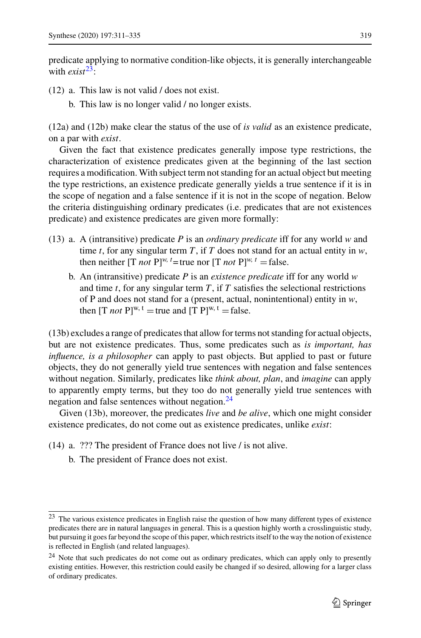predicate applying to normative condition-like objects, it is generally interchangeable with  $exist^{23}$ :

- (12) a. This law is not valid / does not exist.
	- b. This law is no longer valid / no longer exists.

(12a) and (12b) make clear the status of the use of *is valid* as an existence predicate, on a par with *exist*.

Given the fact that existence predicates generally impose type restrictions, the characterization of existence predicates given at the beginning of the last section requires a modification. With subject term not standing for an actual object but meeting the type restrictions, an existence predicate generally yields a true sentence if it is in the scope of negation and a false sentence if it is not in the scope of negation. Below the criteria distinguishing ordinary predicates (i.e. predicates that are not existences predicate) and existence predicates are given more formally:

- (13) a. A (intransitive) predicate *P* is an *ordinary predicate* iff for any world *w* and time *t*, for any singular term *T*, if *T* does not stand for an actual entity in *w*, then neither  $[T \text{ not } P]^{w, t}$  = true nor  $[T \text{ not } P]^{w, t}$  = false.
	- b. An (intransitive) predicate *P* is an *existence predicate* iff for any world *w* and time *t*, for any singular term *T*, if *T* satisfies the selectional restrictions of P and does not stand for a (present, actual, nonintentional) entity in *w*, then  $[T \text{ not } P]^{w, t}$  = true and  $[T P]^{w, t}$  = false.

(13b) excludes a range of predicates that allow for terms not standing for actual objects, but are not existence predicates. Thus, some predicates such as *is important, has influence, is a philosopher* can apply to past objects. But applied to past or future objects, they do not generally yield true sentences with negation and false sentences without negation. Similarly, predicates like *think about, plan*, and *imagine* can apply to apparently empty terms, but they too do not generally yield true sentences with negation and false sentences without negation. $24$ 

Given (13b), moreover, the predicates *live* and *be alive*, which one might consider existence predicates, do not come out as existence predicates, unlike *exist*:

- (14) a. ??? The president of France does not live / is not alive.
	- b. The president of France does not exist.

<span id="page-8-0"></span><sup>&</sup>lt;sup>23</sup> The various existence predicates in English raise the question of how many different types of existence predicates there are in natural languages in general. This is a question highly worth a crosslinguistic study, but pursuing it goes far beyond the scope of this paper, which restricts itself to the way the notion of existence is reflected in English (and related languages).

<span id="page-8-1"></span><sup>&</sup>lt;sup>24</sup> Note that such predicates do not come out as ordinary predicates, which can apply only to presently existing entities. However, this restriction could easily be changed if so desired, allowing for a larger class of ordinary predicates.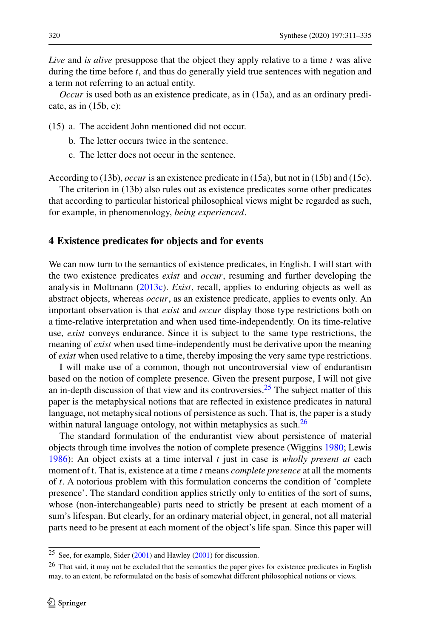*Live* and *is alive* presuppose that the object they apply relative to a time *t* was alive during the time before *t*, and thus do generally yield true sentences with negation and a term not referring to an actual entity.

*Occur* is used both as an existence predicate, as in (15a), and as an ordinary predicate, as in (15b, c):

(15) a. The accident John mentioned did not occur.

- b. The letter occurs twice in the sentence.
- c. The letter does not occur in the sentence.

According to (13b), *occur* is an existence predicate in (15a), but not in (15b) and (15c).

The criterion in (13b) also rules out as existence predicates some other predicates that according to particular historical philosophical views might be regarded as such, for example, in phenomenology, *being experienced*.

#### <span id="page-9-2"></span>**4 Existence predicates for objects and for events**

We can now turn to the semantics of existence predicates, in English. I will start with the two existence predicates *exist* and *occur*, resuming and further developing the analysis in Moltmann [\(2013c\)](#page-23-19). *Exist*, recall, applies to enduring objects as well as abstract objects, whereas *occur*, as an existence predicate, applies to events only. An important observation is that *exist* and *occur* display those type restrictions both on a time-relative interpretation and when used time-independently. On its time-relative use, *exist* conveys endurance. Since it is subject to the same type restrictions, the meaning of *exist* when used time-independently must be derivative upon the meaning of *exist* when used relative to a time, thereby imposing the very same type restrictions.

I will make use of a common, though not uncontroversial view of endurantism based on the notion of complete presence. Given the present purpose, I will not give an in-depth discussion of that view and its controversies.<sup>[25](#page-9-0)</sup> The subject matter of this paper is the metaphysical notions that are reflected in existence predicates in natural language, not metaphysical notions of persistence as such. That is, the paper is a study within natural language ontology, not within metaphysics as such.<sup>[26](#page-9-1)</sup>

The standard formulation of the endurantist view about persistence of material objects through time involves the notion of complete presence (Wiggins [1980;](#page-24-13) Lewis [1986\)](#page-23-20): An object exists at a time interval *t* just in case is *wholly present at* each moment of t. That is, existence at a time *t* means *complete presence* at all the moments of *t*. A notorious problem with this formulation concerns the condition of 'complete presence'. The standard condition applies strictly only to entities of the sort of sums, whose (non-interchangeable) parts need to strictly be present at each moment of a sum's lifespan. But clearly, for an ordinary material object, in general, not all material parts need to be present at each moment of the object's life span. Since this paper will

<span id="page-9-1"></span><span id="page-9-0"></span><sup>&</sup>lt;sup>25</sup> See, for example, Sider  $(2001)$  and Hawley  $(2001)$  for discussion.

<sup>&</sup>lt;sup>26</sup> That said, it may not be excluded that the semantics the paper gives for existence predicates in English may, to an extent, be reformulated on the basis of somewhat different philosophical notions or views.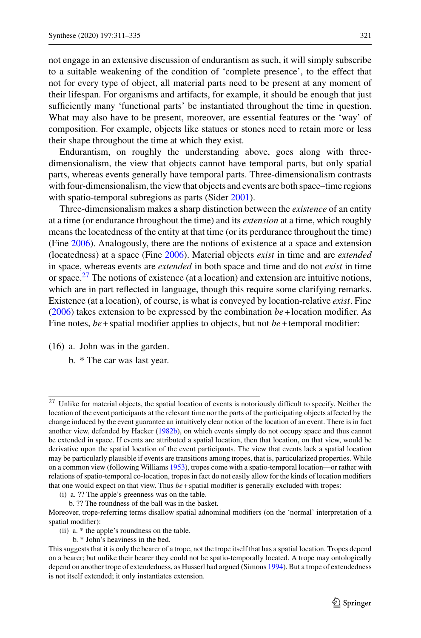not engage in an extensive discussion of endurantism as such, it will simply subscribe to a suitable weakening of the condition of 'complete presence', to the effect that not for every type of object, all material parts need to be present at any moment of their lifespan. For organisms and artifacts, for example, it should be enough that just sufficiently many 'functional parts' be instantiated throughout the time in question. What may also have to be present, moreover, are essential features or the 'way' of composition. For example, objects like statues or stones need to retain more or less their shape throughout the time at which they exist.

Endurantism, on roughly the understanding above, goes along with threedimensionalism, the view that objects cannot have temporal parts, but only spatial parts, whereas events generally have temporal parts. Three-dimensionalism contrasts with four-dimensionalism, the view that objects and events are both space–time regions with spatio-temporal subregions as parts (Sider [2001\)](#page-24-14).

Three-dimensionalism makes a sharp distinction between the *existence* of an entity at a time (or endurance throughout the time) and its *extension* at a time, which roughly means the locatedness of the entity at that time (or its perdurance throughout the time) (Fine [2006\)](#page-23-0). Analogously, there are the notions of existence at a space and extension (locatedness) at a space (Fine [2006\)](#page-23-0). Material objects *exist* in time and are *extended* in space, whereas events are *extended* in both space and time and do not *exist* in time or space.<sup>[27](#page-10-0)</sup> The notions of existence (at a location) and extension are intuitive notions, which are in part reflected in language, though this require some clarifying remarks. Existence (at a location), of course, is what is conveyed by location-relative *exist*. Fine [\(2006\)](#page-23-0) takes extension to be expressed by the combination *be*+location modifier. As Fine notes, *be* + spatial modifier applies to objects, but not *be* + temporal modifier:

(16) a. John was in the garden.

b. \* The car was last year.

b. \* John's heaviness in the bed.

<span id="page-10-0"></span><sup>&</sup>lt;sup>27</sup> Unlike for material objects, the spatial location of events is notoriously difficult to specify. Neither the location of the event participants at the relevant time nor the parts of the participating objects affected by the change induced by the event guarantee an intuitively clear notion of the location of an event. There is in fact another view, defended by Hacker [\(1982b\)](#page-23-22), on which events simply do not occupy space and thus cannot be extended in space. If events are attributed a spatial location, then that location, on that view, would be derivative upon the spatial location of the event participants. The view that events lack a spatial location may be particularly plausible if events are transitions among tropes, that is, particularized properties. While on a common view (following Williams [1953\)](#page-24-15), tropes come with a spatio-temporal location—or rather with relations of spatio-temporal co-location, tropes in fact do not easily allow for the kinds of location modifiers that one would expect on that view. Thus *be*+ spatial modifier is generally excluded with tropes:

<sup>(</sup>i) a. ?? The apple's greenness was on the table.

b. ?? The roundness of the ball was in the basket.

Moreover, trope-referring terms disallow spatial adnominal modifiers (on the 'normal' interpretation of a spatial modifier):

<sup>(</sup>ii) a. \* the apple's roundness on the table.

This suggests that it is only the bearer of a trope, not the trope itself that has a spatial location. Tropes depend on a bearer; but unlike their bearer they could not be spatio-temporally located. A trope may ontologically depend on another trope of extendedness, as Husserl had argued (Simons [1994\)](#page-24-16). But a trope of extendedness is not itself extended; it only instantiates extension.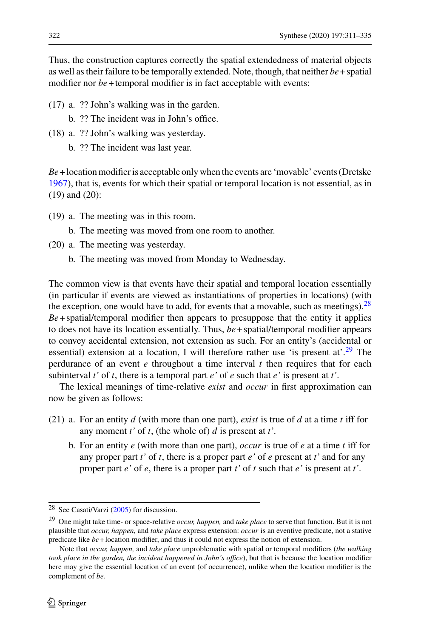Thus, the construction captures correctly the spatial extendedness of material objects as well as their failure to be temporally extended. Note, though, that neither *be*+ spatial modifier nor *be* + temporal modifier is in fact acceptable with events:

- (17) a. ?? John's walking was in the garden.
	- b. ?? The incident was in John's office.
- (18) a. ?? John's walking was yesterday.
	- b. ?? The incident was last year.

*Be*+location modifier is acceptable only when the events are 'movable' events (Dretske [1967\)](#page-23-23), that is, events for which their spatial or temporal location is not essential, as in (19) and (20):

- (19) a. The meeting was in this room.
	- b. The meeting was moved from one room to another.
- (20) a. The meeting was yesterday.
	- b. The meeting was moved from Monday to Wednesday.

The common view is that events have their spatial and temporal location essentially (in particular if events are viewed as instantiations of properties in locations) (with the exception, one would have to add, for events that a movable, such as meetings).  $28$  $Be$ + spatial/temporal modifier then appears to presuppose that the entity it applies to does not have its location essentially. Thus, *be*+ spatial/temporal modifier appears to convey accidental extension, not extension as such. For an entity's (accidental or essential) extension at a location, I will therefore rather use 'is present at'.<sup>[29](#page-11-1)</sup> The perdurance of an event  $e$  throughout a time interval  $t$  then requires that for each subinterval *t'* of *t*, there is a temporal part *e'* of *e* such that *e'* is present at *t'*.

The lexical meanings of time-relative *exist* and *occur* in first approximation can now be given as follows:

- (21) a. For an entity *d* (with more than one part), *exist* is true of *d* at a time *t* iff for any moment *t'* of *t*, (the whole of) *d* is present at *t'*.
	- b. For an entity *e* (with more than one part), *occur* is true of *e* at a time *t* iff for any proper part *t'* of *t*, there is a proper part *e'* of *e* present at *t'* and for any proper part *e'* of *e*, there is a proper part *t'* of *t* such that *e'* is present at *t'*.

<span id="page-11-1"></span><span id="page-11-0"></span><sup>28</sup> See Casati/Varzi [\(2005\)](#page-23-24) for discussion.

<sup>29</sup> One might take time- or space-relative *occur, happen,* and *take place* to serve that function. But it is not plausible that *occur, happen,* and *take place* express extension: *occur* is an eventive predicate, not a stative predicate like *be*+location modifier, and thus it could not express the notion of extension.

Note that *occur, happen,* and *take place* unproblematic with spatial or temporal modifiers (*the walking took place in the garden, the incident happened in John's office*), but that is because the location modifier here may give the essential location of an event (of occurrence), unlike when the location modifier is the complement of *be.*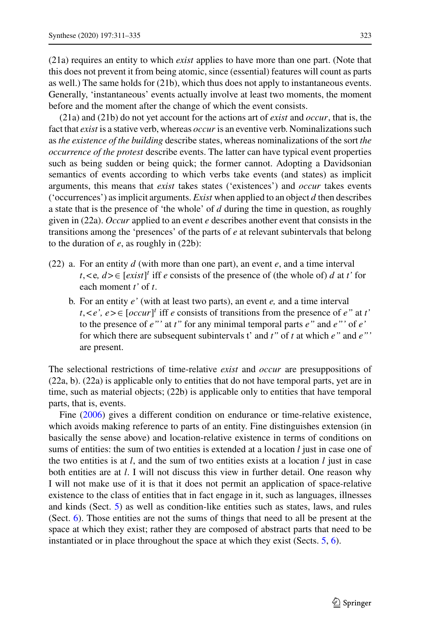(21a) requires an entity to which *exist* applies to have more than one part. (Note that this does not prevent it from being atomic, since (essential) features will count as parts as well.) The same holds for (21b), which thus does not apply to instantaneous events. Generally, 'instantaneous' events actually involve at least two moments, the moment before and the moment after the change of which the event consists.

(21a) and (21b) do not yet account for the actions art of *exist* and *occur*, that is, the fact that *exist* is a stative verb, whereas *occur* is an eventive verb. Nominalizations such as *the existence of the building* describe states, whereas nominalizations of the sort *the occurrence of the protest* describe events. The latter can have typical event properties such as being sudden or being quick; the former cannot. Adopting a Davidsonian semantics of events according to which verbs take events (and states) as implicit arguments, this means that *exist* takes states ('existences') and *occur* takes events ('occurrences') as implicit arguments. *Exist* when applied to an object *d* then describes a state that is the presence of 'the whole' of *d* during the time in question, as roughly given in (22a). *Occur* applied to an event *e* describes another event that consists in the transitions among the 'presences' of the parts of *e* at relevant subintervals that belong to the duration of *e*, as roughly in (22b):

- (22) a. For an entity *d* (with more than one part), an event *e*, and a time interval *t*, <e, *d* > ∈ [*exist*]<sup><sup>*t*</sup> iff *e* consists of the presence of (the whole of) *d* at *t*' for</sup> each moment *t'* of *t*.
	- b. For an entity *e'* (with at least two parts), an event *e,* and a time interval *t*,  $\langle e^t, e^t \rangle$  *e* > ∈ [*occur*]<sup>*t*</sup> iff *e* consists of transitions from the presence of *e*" at *t*' to the presence of *e"'* at *t"* for any minimal temporal parts *e"* and *e"'* of *e'* for which there are subsequent subintervals t' and *t"* of *t* at which *e"* and *e"'* are present.

The selectional restrictions of time-relative *exist* and *occur* are presuppositions of (22a, b). (22a) is applicable only to entities that do not have temporal parts, yet are in time, such as material objects; (22b) is applicable only to entities that have temporal parts, that is, events.

Fine [\(2006\)](#page-23-0) gives a different condition on endurance or time-relative existence, which avoids making reference to parts of an entity. Fine distinguishes extension (in basically the sense above) and location-relative existence in terms of conditions on sums of entities: the sum of two entities is extended at a location *l* just in case one of the two entities is at *l*, and the sum of two entities exists at a location *l* just in case both entities are at *l*. I will not discuss this view in further detail. One reason why I will not make use of it is that it does not permit an application of space-relative existence to the class of entities that in fact engage in it, such as languages, illnesses and kinds (Sect. [5\)](#page-13-0) as well as condition-like entities such as states, laws, and rules (Sect. [6\)](#page-16-0). Those entities are not the sums of things that need to all be present at the space at which they exist; rather they are composed of abstract parts that need to be instantiated or in place throughout the space at which they exist (Sects. [5,](#page-13-0) [6\)](#page-16-0).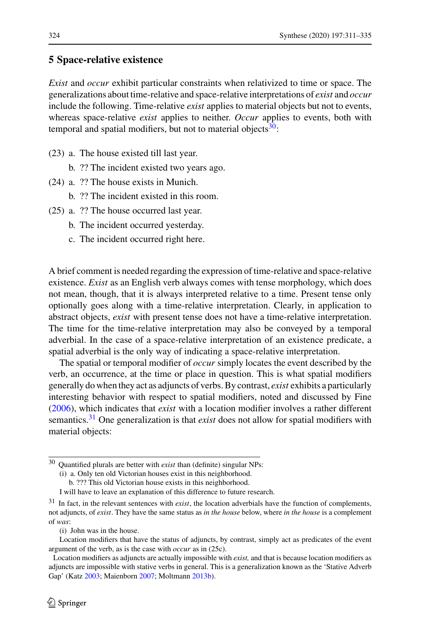### <span id="page-13-0"></span>**5 Space-relative existence**

*Exist* and *occur* exhibit particular constraints when relativized to time or space. The generalizations about time-relative and space-relative interpretations of *exist* and *occur* include the following. Time-relative *exist* applies to material objects but not to events, whereas space-relative *exist* applies to neither. *Occur* applies to events, both with temporal and spatial modifiers, but not to material objects  $30$ :

- (23) a. The house existed till last year.
	- b. ?? The incident existed two years ago.
- (24) a. ?? The house exists in Munich.
	- b. ?? The incident existed in this room.
- (25) a. ?? The house occurred last year.
	- b. The incident occurred yesterday.
	- c. The incident occurred right here.

A brief comment is needed regarding the expression of time-relative and space-relative existence. *Exist* as an English verb always comes with tense morphology, which does not mean, though, that it is always interpreted relative to a time. Present tense only optionally goes along with a time-relative interpretation. Clearly, in application to abstract objects, *exist* with present tense does not have a time-relative interpretation. The time for the time-relative interpretation may also be conveyed by a temporal adverbial. In the case of a space-relative interpretation of an existence predicate, a spatial adverbial is the only way of indicating a space-relative interpretation.

The spatial or temporal modifier of *occur* simply locates the event described by the verb, an occurrence, at the time or place in question. This is what spatial modifiers generally do when they act as adjuncts of verbs. By contrast, *exist* exhibits a particularly interesting behavior with respect to spatial modifiers, noted and discussed by Fine [\(2006\)](#page-23-0), which indicates that *exist* with a location modifier involves a rather different semantics[.31](#page-13-2) One generalization is that *exist* does not allow for spatial modifiers with material objects:

<span id="page-13-1"></span><sup>30</sup> Quantified plurals are better with *exist* than (definite) singular NPs:

<sup>(</sup>i) a. Only ten old Victorian houses exist in this neighborhood.

b. ??? This old Victorian house exists in this neighborhood.

<span id="page-13-2"></span>I will have to leave an explanation of this difference to future research.

<sup>31</sup> In fact, in the relevant sentences with *exist*, the location adverbials have the function of complements, not adjuncts, of *exist*. They have the same status as *in the house* below, where *in the house* is a complement of *was*:

<sup>(</sup>i) John was in the house.

Location modifiers that have the status of adjuncts, by contrast, simply act as predicates of the event argument of the verb, as is the case with *occur* as in (25c).

Location modifiers as adjuncts are actually impossible with *exist,* and that is because location modifiers as adjuncts are impossible with stative verbs in general. This is a generalization known as the 'Stative Adverb Gap' (Katz [2003;](#page-23-20) Maienborn [2007;](#page-23-25) Moltmann [2013b\)](#page-23-18).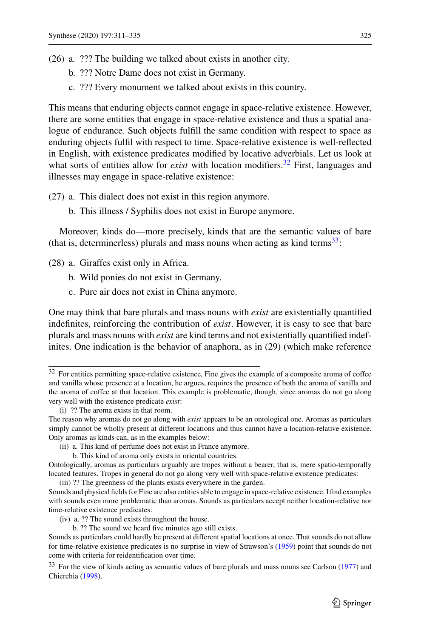- (26) a. ??? The building we talked about exists in another city.
	- b. ??? Notre Dame does not exist in Germany.
	- c. ??? Every monument we talked about exists in this country.

This means that enduring objects cannot engage in space-relative existence. However, there are some entities that engage in space-relative existence and thus a spatial analogue of endurance. Such objects fulfill the same condition with respect to space as enduring objects fulfil with respect to time. Space-relative existence is well-reflected in English, with existence predicates modified by locative adverbials. Let us look at what sorts of entities allow for *exist* with location modifiers.<sup>32</sup> First, languages and illnesses may engage in space-relative existence:

(27) a. This dialect does not exist in this region anymore.

b. This illness / Syphilis does not exist in Europe anymore.

Moreover, kinds do—more precisely, kinds that are the semantic values of bare (that is, determinerless) plurals and mass nouns when acting as kind terms<sup>33</sup>:

- (28) a. Giraffes exist only in Africa.
	- b. Wild ponies do not exist in Germany.
	- c. Pure air does not exist in China anymore.

One may think that bare plurals and mass nouns with *exist* are existentially quantified indefinites, reinforcing the contribution of *exist*. However, it is easy to see that bare plurals and mass nouns with *exist* are kind terms and not existentially quantified indefinites. One indication is the behavior of anaphora, as in (29) (which make reference

b. This kind of aroma only exists in oriental countries.

(iii) ?? The greenness of the plants exists everywhere in the garden.

<span id="page-14-0"></span><sup>&</sup>lt;sup>32</sup> For entities permitting space-relative existence, Fine gives the example of a composite aroma of coffee and vanilla whose presence at a location, he argues, requires the presence of both the aroma of vanilla and the aroma of coffee at that location. This example is problematic, though, since aromas do not go along very well with the existence predicate *exist*:

<sup>(</sup>i) ?? The aroma exists in that room.

The reason why aromas do not go along with *exist* appears to be an ontological one. Aromas as particulars simply cannot be wholly present at different locations and thus cannot have a location-relative existence. Only aromas as kinds can, as in the examples below:

<sup>(</sup>ii) a. This kind of perfume does not exist in France anymore.

Ontologically, aromas as particulars arguably are tropes without a bearer, that is, mere spatio-temporally located features. Tropes in general do not go along very well with space-relative existence predicates:

Sounds and physical fields for Fine are also entities able to engage in space-relative existence. I find examples with sounds even more problematic than aromas. Sounds as particulars accept neither location-relative nor time-relative existence predicates:

<sup>(</sup>iv) a. ?? The sound exists throughout the house.

b. ?? The sound we heard five minutes ago still exists.

Sounds as particulars could hardly be present at different spatial locations at once. That sounds do not allow for time-relative existence predicates is no surprise in view of Strawson's [\(1959\)](#page-24-0) point that sounds do not come with criteria for reidentification over time.

<span id="page-14-1"></span> $33$  For the view of kinds acting as semantic values of bare plurals and mass nouns see Carlson [\(1977\)](#page-23-26) and Chierchia [\(1998\)](#page-23-27).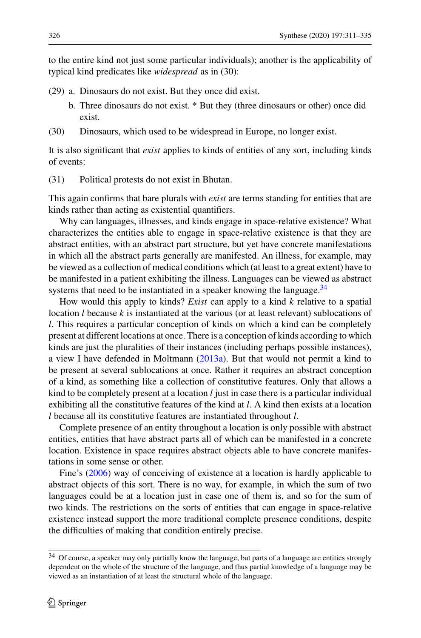to the entire kind not just some particular individuals); another is the applicability of typical kind predicates like *widespread* as in (30):

- (29) a. Dinosaurs do not exist. But they once did exist.
	- b. Three dinosaurs do not exist. \* But they (three dinosaurs or other) once did exist.
- (30) Dinosaurs, which used to be widespread in Europe, no longer exist.

It is also significant that *exist* applies to kinds of entities of any sort, including kinds of events:

(31) Political protests do not exist in Bhutan.

This again confirms that bare plurals with *exist* are terms standing for entities that are kinds rather than acting as existential quantifiers.

Why can languages, illnesses, and kinds engage in space-relative existence? What characterizes the entities able to engage in space-relative existence is that they are abstract entities, with an abstract part structure, but yet have concrete manifestations in which all the abstract parts generally are manifested. An illness, for example, may be viewed as a collection of medical conditions which (at least to a great extent) have to be manifested in a patient exhibiting the illness. Languages can be viewed as abstract systems that need to be instantiated in a speaker knowing the language. $34$ 

How would this apply to kinds? *Exist* can apply to a kind *k* relative to a spatial location *l* because *k* is instantiated at the various (or at least relevant) sublocations of *l*. This requires a particular conception of kinds on which a kind can be completely present at different locations at once. There is a conception of kinds according to which kinds are just the pluralities of their instances (including perhaps possible instances), a view I have defended in Moltmann [\(2013a\)](#page-23-17). But that would not permit a kind to be present at several sublocations at once. Rather it requires an abstract conception of a kind, as something like a collection of constitutive features. Only that allows a kind to be completely present at a location *l* just in case there is a particular individual exhibiting all the constitutive features of the kind at *l*. A kind then exists at a location *l* because all its constitutive features are instantiated throughout *l*.

Complete presence of an entity throughout a location is only possible with abstract entities, entities that have abstract parts all of which can be manifested in a concrete location. Existence in space requires abstract objects able to have concrete manifestations in some sense or other.

Fine's [\(2006\)](#page-23-0) way of conceiving of existence at a location is hardly applicable to abstract objects of this sort. There is no way, for example, in which the sum of two languages could be at a location just in case one of them is, and so for the sum of two kinds. The restrictions on the sorts of entities that can engage in space-relative existence instead support the more traditional complete presence conditions, despite the difficulties of making that condition entirely precise.

<span id="page-15-0"></span><sup>34</sup> Of course, a speaker may only partially know the language, but parts of a language are entities strongly dependent on the whole of the structure of the language, and thus partial knowledge of a language may be viewed as an instantiation of at least the structural whole of the language.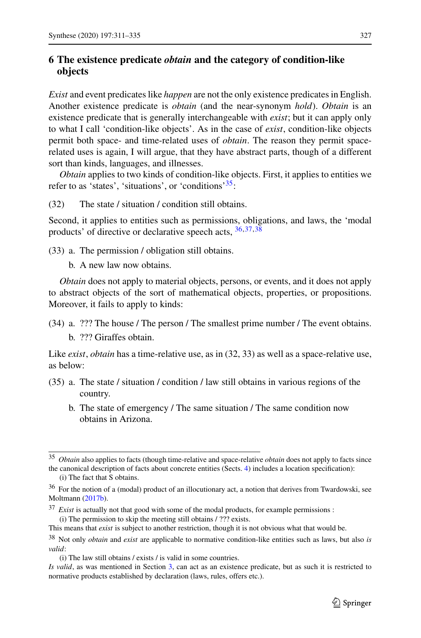# <span id="page-16-0"></span>**6 The existence predicate** *obtain* **and the category of condition-like objects**

*Exist* and event predicates like *happen* are not the only existence predicates in English. Another existence predicate is *obtain* (and the near-synonym *hold*). *Obtain* is an existence predicate that is generally interchangeable with *exist*; but it can apply only to what I call 'condition-like objects'. As in the case of *exist*, condition-like objects permit both space- and time-related uses of *obtain*. The reason they permit spacerelated uses is again, I will argue, that they have abstract parts, though of a different sort than kinds, languages, and illnesses.

*Obtain* applies to two kinds of condition-like objects. First, it applies to entities we refer to as 'states', 'situations', or 'conditions'<sup>35</sup>:

(32) The state / situation / condition still obtains.

Second, it applies to entities such as permissions, obligations, and laws, the 'modal products' of directive or declarative speech acts,  $36,37,38$  $36,37,38$  $36,37,38$ 

- (33) a. The permission / obligation still obtains.
	- b. A new law now obtains.

*Obtain* does not apply to material objects, persons, or events, and it does not apply to abstract objects of the sort of mathematical objects, properties, or propositions. Moreover, it fails to apply to kinds:

(34) a. ??? The house / The person / The smallest prime number / The event obtains. b. ??? Giraffes obtain.

Like *exist*, *obtain* has a time-relative use, as in (32, 33) as well as a space-relative use, as below:

- (35) a. The state / situation / condition / law still obtains in various regions of the country.
	- b. The state of emergency / The same situation / The same condition now obtains in Arizona.

<span id="page-16-1"></span><sup>35</sup> *Obtain* also applies to facts (though time-relative and space-relative *obtain* does not apply to facts since the canonical description of facts about concrete entities (Sects. [4\)](#page-9-2) includes a location specification): (i) The fact that S obtains.

<span id="page-16-3"></span><span id="page-16-2"></span><sup>&</sup>lt;sup>36</sup> For the notion of a (modal) product of an illocutionary act, a notion that derives from Twardowski, see Moltmann [\(2017b\)](#page-24-17).

<sup>37</sup> *Exist* is actually not that good with some of the modal products, for example permissions : (i) The permission to skip the meeting still obtains / ??? exists.

<span id="page-16-4"></span>This means that *exist* is subject to another restriction, though it is not obvious what that would be.

<sup>38</sup> Not only *obtain* and *exist* are applicable to normative condition-like entities such as laws, but also *is valid*:

<sup>(</sup>i) The law still obtains / exists / is valid in some countries.

*Is valid*, as was mentioned in Section [3,](#page-6-1) can act as an existence predicate, but as such it is restricted to normative products established by declaration (laws, rules, offers etc.).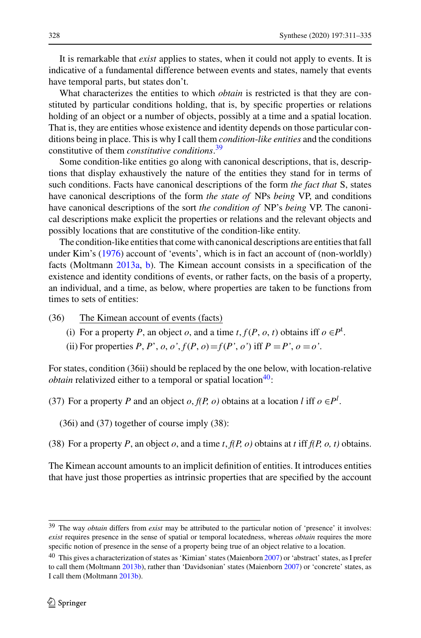It is remarkable that *exist* applies to states, when it could not apply to events. It is indicative of a fundamental difference between events and states, namely that events have temporal parts, but states don't.

What characterizes the entities to which *obtain* is restricted is that they are constituted by particular conditions holding, that is, by specific properties or relations holding of an object or a number of objects, possibly at a time and a spatial location. That is, they are entities whose existence and identity depends on those particular conditions being in place. This is why I call them *condition*-*like entities* and the conditions constitutive of them *constitutive conditions*. [39](#page-17-0)

Some condition-like entities go along with canonical descriptions, that is, descriptions that display exhaustively the nature of the entities they stand for in terms of such conditions. Facts have canonical descriptions of the form *the fact that* S, states have canonical descriptions of the form *the state of* NPs *being* VP, and conditions have canonical descriptions of the sort *the condition of* NP's *being* VP. The canonical descriptions make explicit the properties or relations and the relevant objects and possibly locations that are constitutive of the condition-like entity.

The condition-like entities that come with canonical descriptions are entities that fall under Kim's [\(1976\)](#page-23-13) account of 'events', which is in fact an account of (non-worldly) facts (Moltmann [2013a,](#page-23-17) [b\)](#page-23-18). The Kimean account consists in a specification of the existence and identity conditions of events, or rather facts, on the basis of a property, an individual, and a time, as below, where properties are taken to be functions from times to sets of entities:

- (36) The Kimean account of events (facts)
	- (i) For a property *P*, an object *o*, and a time *t*,  $f(P, o, t)$  obtains iff  $o \in P^t$ .
	- (ii) For properties *P*, *P*', *o*, *o*',  $f(P, o) = f(P', o')$  iff  $P = P', o = o'$ .

For states, condition (36ii) should be replaced by the one below, with location-relative *obtain* relativized either to a temporal or spatial location<sup>40</sup>:

(37) For a property *P* and an object *o*,  $f(P, o)$  obtains at a location *l* iff  $o \in P^l$ .

(36i) and (37) together of course imply (38):

(38) For a property *P*, an object *o*, and a time *t*,  $f(P, o)$  obtains at *t* iff  $f(P, o, t)$  obtains.

The Kimean account amounts to an implicit definition of entities. It introduces entities that have just those properties as intrinsic properties that are specified by the account

<span id="page-17-0"></span><sup>39</sup> The way *obtain* differs from *exist* may be attributed to the particular notion of 'presence' it involves: *exist* requires presence in the sense of spatial or temporal locatedness, whereas *obtain* requires the more specific notion of presence in the sense of a property being true of an object relative to a location.

<span id="page-17-1"></span><sup>&</sup>lt;sup>40</sup> This gives a characterization of states as 'Kimian' states (Maienborn [2007\)](#page-23-25) or 'abstract' states, as I prefer to call them (Moltmann [2013b\)](#page-23-18), rather than 'Davidsonian' states (Maienborn [2007\)](#page-23-25) or 'concrete' states, as I call them (Moltmann [2013b\)](#page-23-18).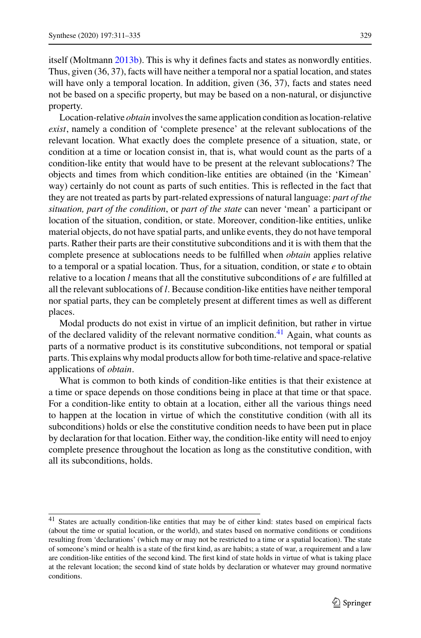itself (Moltmann [2013b\)](#page-23-18). This is why it defines facts and states as nonwordly entities. Thus, given (36, 37), facts will have neither a temporal nor a spatial location, and states will have only a temporal location. In addition, given  $(36, 37)$ , facts and states need not be based on a specific property, but may be based on a non-natural, or disjunctive property.

Location-relative *obtain* involves the same application condition as location-relative *exist*, namely a condition of 'complete presence' at the relevant sublocations of the relevant location. What exactly does the complete presence of a situation, state, or condition at a time or location consist in, that is, what would count as the parts of a condition-like entity that would have to be present at the relevant sublocations? The objects and times from which condition-like entities are obtained (in the 'Kimean' way) certainly do not count as parts of such entities. This is reflected in the fact that they are not treated as parts by part-related expressions of natural language: *part of the situation, part of the condition*, or *part of the state* can never 'mean' a participant or location of the situation, condition, or state. Moreover, condition-like entities, unlike material objects, do not have spatial parts, and unlike events, they do not have temporal parts. Rather their parts are their constitutive subconditions and it is with them that the complete presence at sublocations needs to be fulfilled when *obtain* applies relative to a temporal or a spatial location. Thus, for a situation, condition, or state *e* to obtain relative to a location *l* means that all the constitutive subconditions of *e* are fulfilled at all the relevant sublocations of *l*. Because condition-like entities have neither temporal nor spatial parts, they can be completely present at different times as well as different places.

Modal products do not exist in virtue of an implicit definition, but rather in virtue of the declared validity of the relevant normative condition.<sup>[41](#page-18-0)</sup> Again, what counts as parts of a normative product is its constitutive subconditions, not temporal or spatial parts. This explains why modal products allow for both time-relative and space-relative applications of *obtain*.

What is common to both kinds of condition-like entities is that their existence at a time or space depends on those conditions being in place at that time or that space. For a condition-like entity to obtain at a location, either all the various things need to happen at the location in virtue of which the constitutive condition (with all its subconditions) holds or else the constitutive condition needs to have been put in place by declaration for that location. Either way, the condition-like entity will need to enjoy complete presence throughout the location as long as the constitutive condition, with all its subconditions, holds.

<span id="page-18-0"></span><sup>41</sup> States are actually condition-like entities that may be of either kind: states based on empirical facts (about the time or spatial location, or the world), and states based on normative conditions or conditions resulting from 'declarations' (which may or may not be restricted to a time or a spatial location). The state of someone's mind or health is a state of the first kind, as are habits; a state of war, a requirement and a law are condition-like entities of the second kind. The first kind of state holds in virtue of what is taking place at the relevant location; the second kind of state holds by declaration or whatever may ground normative conditions.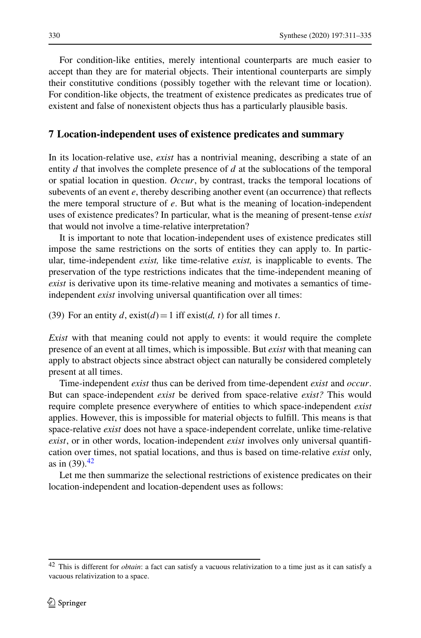For condition-like entities, merely intentional counterparts are much easier to accept than they are for material objects. Their intentional counterparts are simply their constitutive conditions (possibly together with the relevant time or location). For condition-like objects, the treatment of existence predicates as predicates true of existent and false of nonexistent objects thus has a particularly plausible basis.

### **7 Location-independent uses of existence predicates and summary**

In its location-relative use, *exist* has a nontrivial meaning, describing a state of an entity *d* that involves the complete presence of *d* at the sublocations of the temporal or spatial location in question. *Occur*, by contrast, tracks the temporal locations of subevents of an event *e*, thereby describing another event (an occurrence) that reflects the mere temporal structure of *e*. But what is the meaning of location-independent uses of existence predicates? In particular, what is the meaning of present-tense *exist* that would not involve a time-relative interpretation?

It is important to note that location-independent uses of existence predicates still impose the same restrictions on the sorts of entities they can apply to. In particular, time-independent *exist,* like time-relative *exist,* is inapplicable to events. The preservation of the type restrictions indicates that the time-independent meaning of *exist* is derivative upon its time-relative meaning and motivates a semantics of timeindependent *exist* involving universal quantification over all times:

(39) For an entity *d*,  $\text{exist}(d) = 1$  iff  $\text{exist}(d, t)$  for all times *t*.

*Exist* with that meaning could not apply to events: it would require the complete presence of an event at all times, which is impossible. But *exist* with that meaning can apply to abstract objects since abstract object can naturally be considered completely present at all times.

Time-independent *exist* thus can be derived from time-dependent *exist* and *occur*. But can space-independent *exist* be derived from space-relative *exist?* This would require complete presence everywhere of entities to which space-independent *exist* applies. However, this is impossible for material objects to fulfill. This means is that space-relative *exist* does not have a space-independent correlate, unlike time-relative *exist*, or in other words, location-independent *exist* involves only universal quantification over times, not spatial locations, and thus is based on time-relative *exist* only, as in  $(39)$ .<sup>[42](#page-19-0)</sup>

Let me then summarize the selectional restrictions of existence predicates on their location-independent and location-dependent uses as follows:

<span id="page-19-0"></span><sup>42</sup> This is different for *obtain*: a fact can satisfy a vacuous relativization to a time just as it can satisfy a vacuous relativization to a space.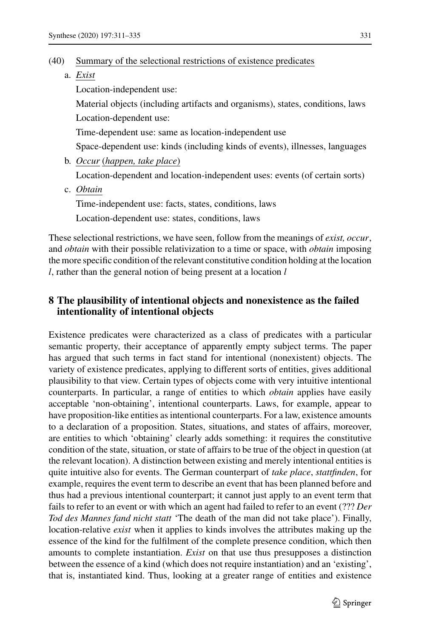- (40) Summary of the selectional restrictions of existence predicates
	- a. *Exist*

Location-independent use:

Material objects (including artifacts and organisms), states, conditions, laws Location-dependent use:

Time-dependent use: same as location-independent use

Space-dependent use: kinds (including kinds of events), illnesses, languages

- b. *Occur* (*happen, take place*) Location-dependent and location-independent uses: events (of certain sorts)
- c. *Obtain*

Time-independent use: facts, states, conditions, laws Location-dependent use: states, conditions, laws

These selectional restrictions, we have seen, follow from the meanings of *exist, occur*, and *obtain* with their possible relativization to a time or space, with *obtain* imposing the more specific condition of the relevant constitutive condition holding at the location *l*, rather than the general notion of being present at a location *l*

# <span id="page-20-0"></span>**8 The plausibility of intentional objects and nonexistence as the failed intentionality of intentional objects**

Existence predicates were characterized as a class of predicates with a particular semantic property, their acceptance of apparently empty subject terms. The paper has argued that such terms in fact stand for intentional (nonexistent) objects. The variety of existence predicates, applying to different sorts of entities, gives additional plausibility to that view. Certain types of objects come with very intuitive intentional counterparts. In particular, a range of entities to which *obtain* applies have easily acceptable 'non-obtaining', intentional counterparts. Laws, for example, appear to have proposition-like entities as intentional counterparts. For a law, existence amounts to a declaration of a proposition. States, situations, and states of affairs, moreover, are entities to which 'obtaining' clearly adds something: it requires the constitutive condition of the state, situation, or state of affairs to be true of the object in question (at the relevant location). A distinction between existing and merely intentional entities is quite intuitive also for events. The German counterpart of *take place*, *stattfinden*, for example, requires the event term to describe an event that has been planned before and thus had a previous intentional counterpart; it cannot just apply to an event term that fails to refer to an event or with which an agent had failed to refer to an event (??? *Der Tod des Mannes fand nicht statt* 'The death of the man did not take place'). Finally, location-relative *exist* when it applies to kinds involves the attributes making up the essence of the kind for the fulfilment of the complete presence condition, which then amounts to complete instantiation. *Exist* on that use thus presupposes a distinction between the essence of a kind (which does not require instantiation) and an 'existing', that is, instantiated kind. Thus, looking at a greater range of entities and existence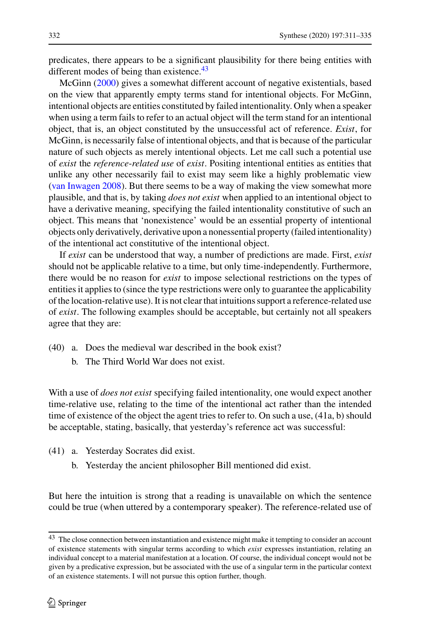predicates, there appears to be a significant plausibility for there being entities with different modes of being than existence. $43$ 

McGinn [\(2000\)](#page-23-11) gives a somewhat different account of negative existentials, based on the view that apparently empty terms stand for intentional objects. For McGinn, intentional objects are entities constituted by failed intentionality. Only when a speaker when using a term fails to refer to an actual object will the term stand for an intentional object, that is, an object constituted by the unsuccessful act of reference. *Exist*, for McGinn, is necessarily false of intentional objects, and that is because of the particular nature of such objects as merely intentional objects. Let me call such a potential use of *exist* the *reference*-*related use* of *exist*. Positing intentional entities as entities that unlike any other necessarily fail to exist may seem like a highly problematic view [\(van Inwagen 2008\)](#page-23-13). But there seems to be a way of making the view somewhat more plausible, and that is, by taking *does not exist* when applied to an intentional object to have a derivative meaning, specifying the failed intentionality constitutive of such an object. This means that 'nonexistence' would be an essential property of intentional objects only derivatively, derivative upon a nonessential property (failed intentionality) of the intentional act constitutive of the intentional object.

If *exist* can be understood that way, a number of predictions are made. First, *exist* should not be applicable relative to a time, but only time-independently. Furthermore, there would be no reason for *exist* to impose selectional restrictions on the types of entities it applies to (since the type restrictions were only to guarantee the applicability of the location-relative use). It is not clear that intuitions support a reference-related use of *exist*. The following examples should be acceptable, but certainly not all speakers agree that they are:

- (40) a. Does the medieval war described in the book exist?
	- b. The Third World War does not exist.

With a use of *does not exist* specifying failed intentionality, one would expect another time-relative use, relating to the time of the intentional act rather than the intended time of existence of the object the agent tries to refer to. On such a use, (41a, b) should be acceptable, stating, basically, that yesterday's reference act was successful:

- (41) a. Yesterday Socrates did exist.
	- b. Yesterday the ancient philosopher Bill mentioned did exist.

But here the intuition is strong that a reading is unavailable on which the sentence could be true (when uttered by a contemporary speaker). The reference-related use of

<span id="page-21-0"></span><sup>&</sup>lt;sup>43</sup> The close connection between instantiation and existence might make it tempting to consider an account of existence statements with singular terms according to which *exist* expresses instantiation, relating an individual concept to a material manifestation at a location. Of course, the individual concept would not be given by a predicative expression, but be associated with the use of a singular term in the particular context of an existence statements. I will not pursue this option further, though.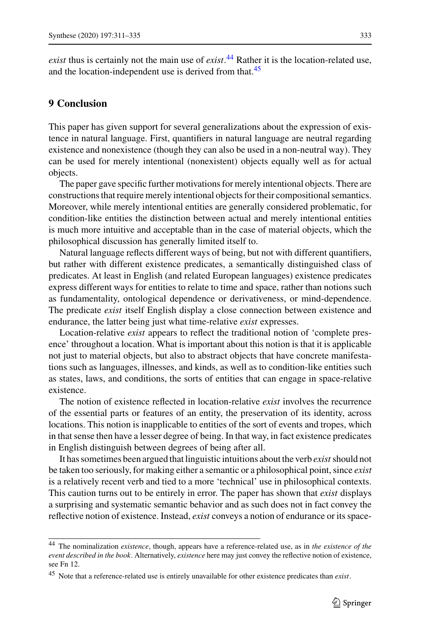*exist* thus is certainly not the main use of *exist*. [44](#page-22-0) Rather it is the location-related use, and the location-independent use is derived from that.<sup>[45](#page-22-1)</sup>

### **9 Conclusion**

This paper has given support for several generalizations about the expression of existence in natural language. First, quantifiers in natural language are neutral regarding existence and nonexistence (though they can also be used in a non-neutral way). They can be used for merely intentional (nonexistent) objects equally well as for actual objects.

The paper gave specific further motivations for merely intentional objects. There are constructions that require merely intentional objects for their compositional semantics. Moreover, while merely intentional entities are generally considered problematic, for condition-like entities the distinction between actual and merely intentional entities is much more intuitive and acceptable than in the case of material objects, which the philosophical discussion has generally limited itself to.

Natural language reflects different ways of being, but not with different quantifiers, but rather with different existence predicates, a semantically distinguished class of predicates. At least in English (and related European languages) existence predicates express different ways for entities to relate to time and space, rather than notions such as fundamentality, ontological dependence or derivativeness, or mind-dependence. The predicate *exist* itself English display a close connection between existence and endurance, the latter being just what time-relative *exist* expresses.

Location-relative *exist* appears to reflect the traditional notion of 'complete presence' throughout a location. What is important about this notion is that it is applicable not just to material objects, but also to abstract objects that have concrete manifestations such as languages, illnesses, and kinds, as well as to condition-like entities such as states, laws, and conditions, the sorts of entities that can engage in space-relative existence.

The notion of existence reflected in location-relative *exist* involves the recurrence of the essential parts or features of an entity, the preservation of its identity, across locations. This notion is inapplicable to entities of the sort of events and tropes, which in that sense then have a lesser degree of being. In that way, in fact existence predicates in English distinguish between degrees of being after all.

It has sometimes been argued that linguistic intuitions about the verb *exist* should not be taken too seriously, for making either a semantic or a philosophical point, since *exist* is a relatively recent verb and tied to a more 'technical' use in philosophical contexts. This caution turns out to be entirely in error. The paper has shown that *exist* displays a surprising and systematic semantic behavior and as such does not in fact convey the reflective notion of existence. Instead, *exist* conveys a notion of endurance or its space-

<span id="page-22-0"></span><sup>44</sup> The nominalization *existence*, though, appears have a reference-related use, as in *the existence of the event described in the book*. Alternatively, *existence* here may just convey the reflective notion of existence, see Fn 12.

<span id="page-22-1"></span><sup>45</sup> Note that a reference-related use is entirely unavailable for other existence predicates than *exist*.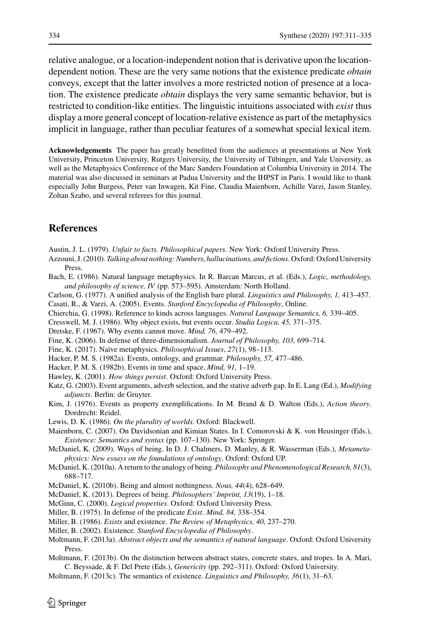relative analogue, or a location-independent notion that is derivative upon the locationdependent notion. These are the very same notions that the existence predicate *obtain* conveys, except that the latter involves a more restricted notion of presence at a location. The existence predicate *obtain* displays the very same semantic behavior, but is restricted to condition-like entities. The linguistic intuitions associated with *exist* thus display a more general concept of location-relative existence as part of the metaphysics implicit in language, rather than peculiar features of a somewhat special lexical item.

**Acknowledgements** The paper has greatly benefitted from the audiences at presentations at New York University, Princeton University, Rutgers University, the University of Tübingen, and Yale University, as well as the Metaphysics Conference of the Marc Sanders Foundation at Columbia University in 2014. The material was also discussed in seminars at Padua University and the IHPST in Paris. I would like to thank especially John Burgess, Peter van Inwagen, Kit Fine, Claudia Maienborn, Achille Varzi, Jason Stanley, Zoltan Szabo, and several referees for this journal.

### **References**

<span id="page-23-16"></span>Austin, J. L. (1979). *Unfair to facts. Philosophical papers*. New York: Oxford University Press.

- <span id="page-23-12"></span>Azzouni, J. (2010). *Talking about nothing: Numbers, hallucinations, and fictions*. Oxford: Oxford University Press.
- <span id="page-23-2"></span>Bach, E. (1986). Natural language metaphysics. In R. Barcan Marcus, et al. (Eds.), *Logic, methodology, and philosophy of science, IV* (pp. 573–595). Amsterdam: North Holland.

<span id="page-23-26"></span>Carlson, G. (1977). A unified analysis of the English bare plural. *Linguistics and Philosophy, 1,* 413–457. Casati, R., & Varzi, A. (2005). Events. *Stanford Encyclopedia of Philosophy*, Online.

- <span id="page-23-27"></span><span id="page-23-24"></span>Chierchia, G. (1998). Reference to kinds across languages. *Natural Language Semantics, 6,* 339–405.
- <span id="page-23-15"></span>Cresswell, M. J. (1986). Why object exists, but events occur. *Studia Logica, 45,* 371–375.
- <span id="page-23-23"></span>Dretske, F. (1967). Why events cannot move. *Mind, 76,* 479–492.
- <span id="page-23-0"></span>Fine, K. (2006). In defense of three-dimensionalism. *Journal of Philosophy, 103,* 699–714.

<span id="page-23-1"></span>Fine, K. (2017). Naïve metaphysics. *Philosophical Issues*, *27*(1), 98–113.

- <span id="page-23-14"></span>Hacker, P. M. S. (1982a). Events, ontology, and grammar. *Philosophy, 57,* 477–486.
- <span id="page-23-22"></span>Hacker, P. M. S. (1982b). Events in time and space. *Mind, 91,* 1–19.
- <span id="page-23-21"></span>Hawley, K. (2001). *How things persist*. Oxford: Oxford University Press.
- <span id="page-23-7"></span>Katz, G. (2003). Event arguments, adverb selection, and the stative adverb gap. In E. Lang (Ed.), *Modifying adjuncts*. Berlin: de Gruyter.
- <span id="page-23-13"></span>Kim, J. (1976). Events as property exemplifications. In M. Brand & D. Walton (Eds.), *Action theory*. Dordrecht: Reidel.
- <span id="page-23-20"></span>Lewis, D. K. (1986). *On the plurality of worlds*. Oxford: Blackwell.
- <span id="page-23-25"></span>Maienborn, C. (2007). On Davidsonian and Kimian States. In I. Comorovski & K. von Heusinger (Eds.), *Existence: Semantics and syntax* (pp. 107–130). New York: Springer.
- <span id="page-23-5"></span>McDaniel, K. (2009). Ways of being. In D. J. Chalmers, D. Manley, & R. Wasserman (Eds.), *Metametaphysics: New essays on the foundations of ontology*. Oxford: Oxford UP.
- <span id="page-23-3"></span>McDaniel, K. (2010a). A return to the analogy of being. *Philosophy and Phenomenological Research, 81*(3), 688–717.

<span id="page-23-4"></span>McDaniel, K. (2010b). Being and almost nothingness. *Nous, 44*(4), 628–649.

<span id="page-23-6"></span>McDaniel, K. (2013). Degrees of being. *Philosophers' Imprint, 13*(19), 1–18.

<span id="page-23-11"></span>McGinn, C. (2000). *Logical properties*. Oxford: Oxford University Press.

<span id="page-23-8"></span>Miller, B. (1975). In defense of the predicate *Exist*. *Mind, 84,* 338–354.

- <span id="page-23-9"></span>Miller, B. (1986). *Exists* and existence. *The Review of Metaphysics, 40,* 237–270.
- <span id="page-23-10"></span>Miller, B. (2002). Existence. *Stanford Encyclopedia of Philosophy*.

<span id="page-23-17"></span>Moltmann, F. (2013a). *Abstract objects and the semantics of natural language*. Oxford: Oxford University Press.

<span id="page-23-18"></span>Moltmann, F. (2013b). On the distinction between abstract states, concrete states, and tropes. In A. Mari, C. Beyssade, & F. Del Prete (Eds.), *Genericity* (pp. 292–311). Oxford: Oxford University.

<span id="page-23-19"></span>Moltmann, F. (2013c). The semantics of existence. *Linguistics and Philosophy, 36*(1), 31–63.